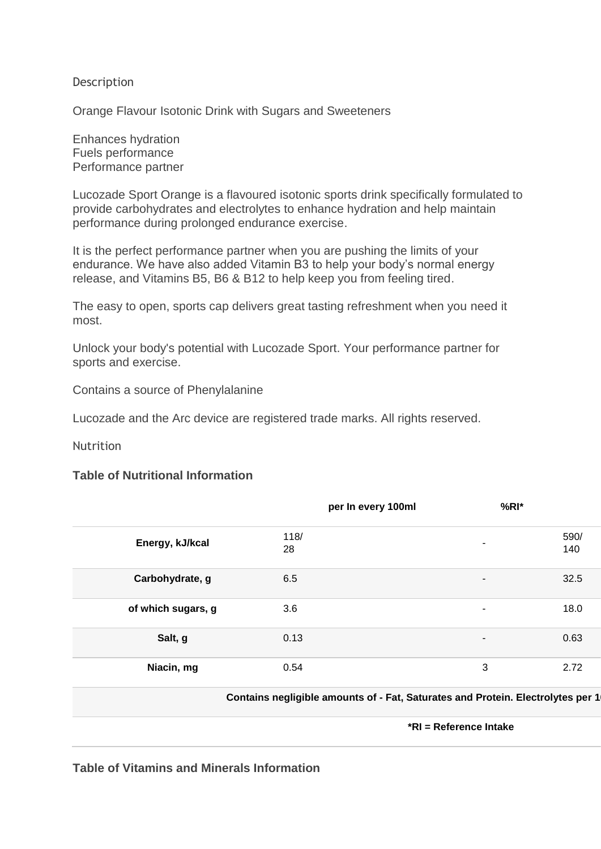## Description

Orange Flavour Isotonic Drink with Sugars and Sweeteners

Enhances hydration Fuels performance Performance partner

Lucozade Sport Orange is a flavoured isotonic sports drink specifically formulated to provide carbohydrates and electrolytes to enhance hydration and help maintain performance during prolonged endurance exercise.

It is the perfect performance partner when you are pushing the limits of your endurance. We have also added Vitamin B3 to help your body's normal energy release, and Vitamins B5, B6 & B12 to help keep you from feeling tired.

The easy to open, sports cap delivers great tasting refreshment when you need it most.

Unlock your body's potential with Lucozade Sport. Your performance partner for sports and exercise.

Contains a source of Phenylalanine

Lucozade and the Arc device are registered trade marks. All rights reserved.

**Nutrition** 

## **Table of Nutritional Information**

|                    | per In every 100ml | $%RI*$                   |             |
|--------------------|--------------------|--------------------------|-------------|
| Energy, kJ/kcal    | 118/<br>28         | ۰                        | 590/<br>140 |
| Carbohydrate, g    | 6.5                | $\blacksquare$           | 32.5        |
| of which sugars, g | 3.6                | $\blacksquare$           | 18.0        |
| Salt, g            | 0.13               | $\overline{\phantom{a}}$ | 0.63        |
| Niacin, mg         | 0.54               | 3                        | 2.72        |

**Contains negligible amounts of - Fat, Saturates and Protein. Electrolytes per 1** 

**\*RI = Reference Intake**

**Table of Vitamins and Minerals Information**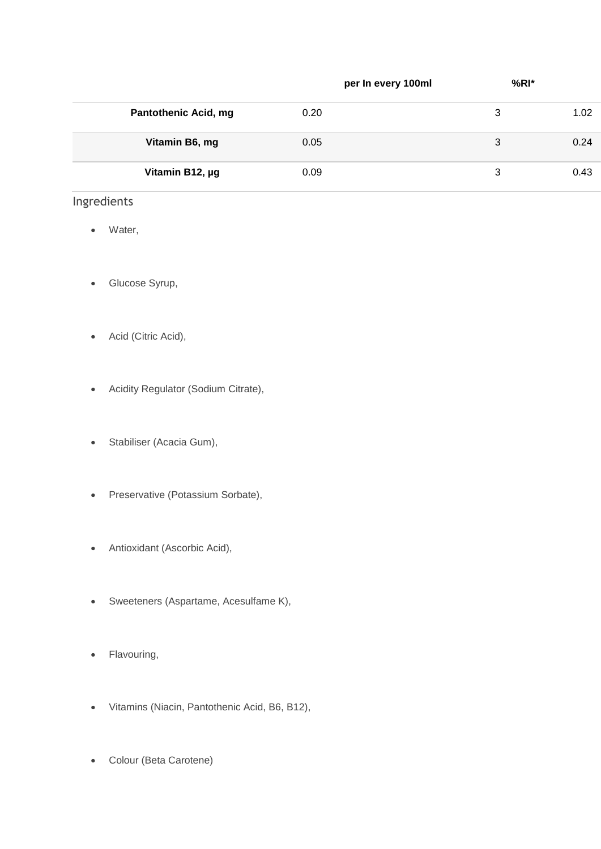|                             | per In every 100ml | $%RI*$ |      |
|-----------------------------|--------------------|--------|------|
| <b>Pantothenic Acid, mg</b> | 0.20               | 3      | 1.02 |
| Vitamin B6, mg              | 0.05               | 3      | 0.24 |
| Vitamin B12, µg             | 0.09               | 3      | 0.43 |

## Ingredients

- Water,
- Glucose Syrup,
- Acid (Citric Acid),
- Acidity Regulator (Sodium Citrate),
- Stabiliser (Acacia Gum),
- Preservative (Potassium Sorbate),
- Antioxidant (Ascorbic Acid),
- Sweeteners (Aspartame, Acesulfame K),
- Flavouring,
- Vitamins (Niacin, Pantothenic Acid, B6, B12),
- Colour (Beta Carotene)